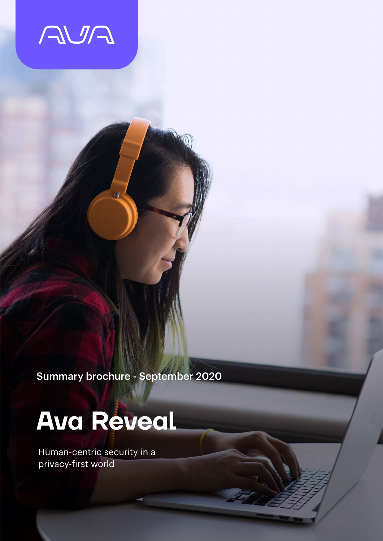

Summary brochure - September 2020

# **Ava Reveal**

Human-centric security in a privacy-first world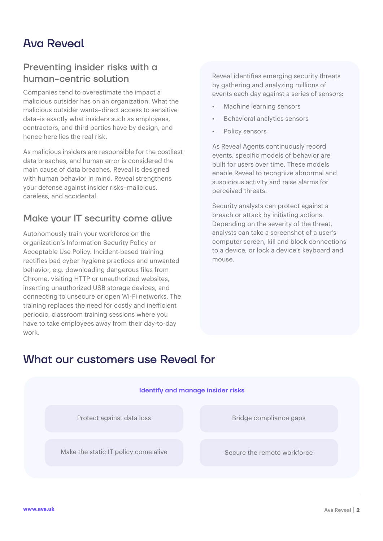# Ava Reveal

## Preventing insider risks with a human-centric solution

Companies tend to overestimate the impact a malicious outsider has on an organization. What the malicious outsider wants–direct access to sensitive data–is exactly what insiders such as employees, contractors, and third parties have by design, and hence here lies the real risk.

As malicious insiders are responsible for the costliest data breaches, and human error is considered the main cause of data breaches, Reveal is designed with human behavior in mind. Reveal strengthens your defense against insider risks–malicious, careless, and accidental.

## Make your IT security come alive

Autonomously train your workforce on the organization's Information Security Policy or Acceptable Use Policy. Incident-based training rectifies bad cyber hygiene practices and unwanted behavior, e.g. downloading dangerous files from Chrome, visiting HTTP or unauthorized websites, inserting unauthorized USB storage devices, and connecting to unsecure or open Wi-Fi networks. The training replaces the need for costly and inefficient periodic, classroom training sessions where you have to take employees away from their day-to-day work.

Reveal identifies emerging security threats by gathering and analyzing millions of events each day against a series of sensors:

- Machine learning sensors
- Behavioral analytics sensors
- Policy sensors

As Reveal Agents continuously record events, specific models of behavior are built for users over time. These models enable Reveal to recognize abnormal and suspicious activity and raise alarms for perceived threats.

Security analysts can protect against a breach or attack by initiating actions. Depending on the severity of the threat, analysts can take a screenshot of a user's computer screen, kill and block connections to a device, or lock a device's keyboard and mouse.

## What our customers use Reveal for

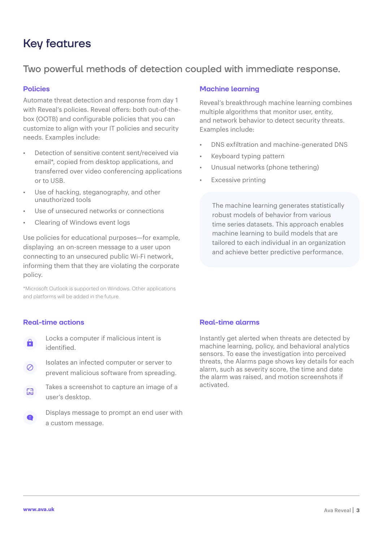# Key features

## Two powerful methods of detection coupled with immediate response.

#### **Policies**

Automate threat detection and response from day 1 with Reveal's policies. Reveal offers: both out-of-thebox (OOTB) and configurable policies that you can customize to align with your IT policies and security needs. Examples include:

- Detection of sensitive content sent/received via email\*, copied from desktop applications, and transferred over video conferencing applications or to USB.
- Use of hacking, steganography, and other unauthorized tools
- Use of unsecured networks or connections
- Clearing of Windows event logs

Use policies for educational purposes—for example, displaying an on-screen message to a user upon connecting to an unsecured public Wi-Fi network, informing them that they are violating the corporate policy.

\*Microsoft Outlook is supported on Windows. Other applications and platforms will be added in the future.

#### **Machine learning**

Reveal's breakthrough machine learning combines multiple algorithms that monitor user, entity, and network behavior to detect security threats. Examples include:

- DNS exfiltration and machine-generated DNS
- Keyboard typing pattern
- Unusual networks (phone tethering)
- Excessive printing

The machine learning generates statistically robust models of behavior from various time series datasets. This approach enables machine learning to build models that are tailored to each individual in an organization and achieve better predictive performance.

#### **Real-time actions**

- Locks a computer if malicious intent is  $\theta$ identified.
- Isolates an infected computer or server to  $\oslash$ prevent malicious software from spreading.
- Takes a screenshot to capture an image of a  $<sup>1</sup>$ </sup> user's desktop.
- Displays message to prompt an end user with  $\bullet$ a custom message.

#### **Real-time alarms**

Instantly get alerted when threats are detected by machine learning, policy, and behavioral analytics sensors. To ease the investigation into perceived threats, the Alarms page shows key details for each alarm, such as severity score, the time and date the alarm was raised, and motion screenshots if activated.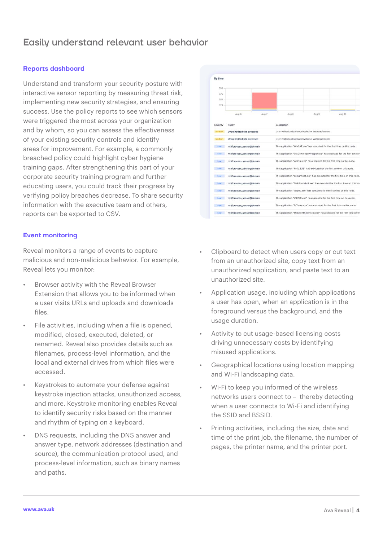## Easily understand relevant user behavior

#### **Reports dashboard**

Understand and transform your security posture with interactive sensor reporting by measuring threat risk, implementing new security strategies, and ensuring success. Use the policy reports to see which sensors were triggered the most across your organization and by whom, so you can assess the effectiveness of your existing security controls and identify areas for improvement. For example, a commonly breached policy could highlight cyber hygiene training gaps. After strengthening this part of your corporate security training program and further educating users, you could track their progress by verifying policy breaches decrease. To share security information with the executive team and others, reports can be exported to CSV.

#### **Event monitoring**

Reveal monitors a range of events to capture malicious and non-malicious behavior. For example, Reveal lets you monitor:

- Browser activity with the Reveal Browser Extension that allows you to be informed when a user visits URLs and uploads and downloads files.
- File activities, including when a file is opened, modified, closed, executed, deleted, or renamed. Reveal also provides details such as filenames, process-level information, and the local and external drives from which files were accessed.
- Keystrokes to automate your defense against keystroke injection attacks, unauthorized access, and more. Keystroke monitoring enables Reveal to identify security risks based on the manner and rhythm of typing on a keyboard.
- DNS requests, including the DNS answer and answer type, network addresses (destination and source), the communication protocol used, and process-level information, such as binary names and paths.



- Clipboard to detect when users copy or cut text from an unauthorized site, copy text from an unauthorized application, and paste text to an unauthorized site.
- Application usage, including which applications a user has open, when an application is in the foreground versus the background, and the usage duration.
- Activity to cut usage-based licensing costs driving unnecessary costs by identifying misused applications.
- Geographical locations using location mapping and Wi-Fi landscaping data.
- Wi-Fi to keep you informed of the wireless networks users connect to – thereby detecting when a user connects to Wi-Fi and identifying the SSID and BSSID.
- Printing activities, including the size, date and time of the print job, the filename, the number of pages, the printer name, and the printer port.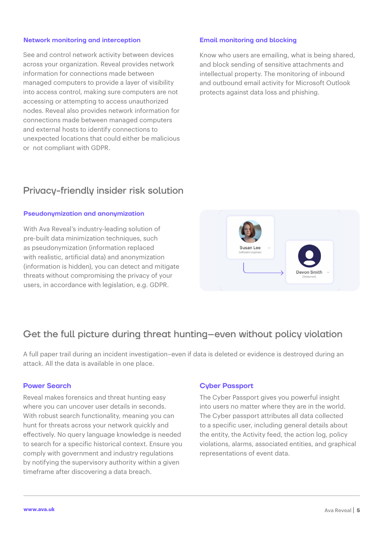#### **Network monitoring and interception**

See and control network activity between devices across your organization. Reveal provides network information for connections made between managed computers to provide a layer of visibility into access control, making sure computers are not accessing or attempting to access unauthorized nodes. Reveal also provides network information for connections made between managed computers and external hosts to identify connections to unexpected locations that could either be malicious or not compliant with GDPR.

#### **Email monitoring and blocking**

Know who users are emailing, what is being shared, and block sending of sensitive attachments and intellectual property. The monitoring of inbound and outbound email activity for Microsoft Outlook protects against data loss and phishing.

### Privacy-friendly insider risk solution

#### **Pseudonymization and anonymization**

With Ava Reveal's industry-leading solution of pre-built data minimization techniques, such as pseudonymization (information replaced with realistic, artificial data) and anonymization (information is hidden), you can detect and mitigate threats without compromising the privacy of your users, in accordance with legislation, e.g. GDPR.



## Get the full picture during threat hunting–even without policy violation

A full paper trail during an incident investigation–even if data is deleted or evidence is destroyed during an attack. All the data is available in one place.

#### **Power Search**

Reveal makes forensics and threat hunting easy where you can uncover user details in seconds. With robust search functionality, meaning you can hunt for threats across your network quickly and effectively. No query language knowledge is needed to search for a specific historical context. Ensure you comply with government and industry regulations by notifying the supervisory authority within a given timeframe after discovering a data breach.

#### **Cyber Passport**

The Cyber Passport gives you powerful insight into users no matter where they are in the world. The Cyber passport attributes all data collected to a specific user, including general details about the entity, the Activity feed, the action log, policy violations, alarms, associated entities, and graphical representations of event data.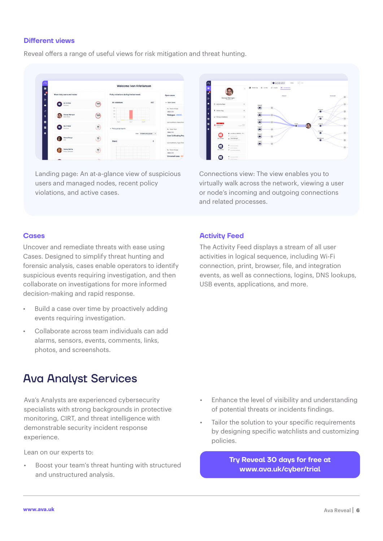#### **Different views**

Reveal offers a range of useful views for risk mitigation and threat hunting.



Landing page: An at-a-glance view of suspicious users and managed nodes, recent policy violations, and active cases.



Connections view: The view enables you to virtually walk across the network, viewing a user or node's incoming and outgoing connections and related processes.

#### **Cases**

Uncover and remediate threats with ease using Cases. Designed to simplify threat hunting and forensic analysis, cases enable operators to identify suspicious events requiring investigation, and then collaborate on investigations for more informed decision-making and rapid response.

- Build a case over time by proactively adding events requiring investigation.
- Collaborate across team individuals can add alarms, sensors, events, comments, links, photos, and screenshots.

## Ava Analyst Services

Ava's Analysts are experienced cybersecurity specialists with strong backgrounds in protective monitoring, CIRT, and threat intelligence with demonstrable security incident response experience.

Lean on our experts to:

Boost your team's threat hunting with structured and unstructured analysis.

#### **Activity Feed**

The Activity Feed displays a stream of all user activities in logical sequence, including Wi-Fi connection, print, browser, file, and integration events, as well as connections, logins, DNS lookups, USB events, applications, and more.

- Enhance the level of visibility and understanding of potential threats or incidents findings.
- Tailor the solution to your specific requirements by designing specific watchlists and customizing policies.

**Try Reveal 30 days for free at [www.ava.uk/cyber/trial](http://www.ava.uk/cyber/trial)**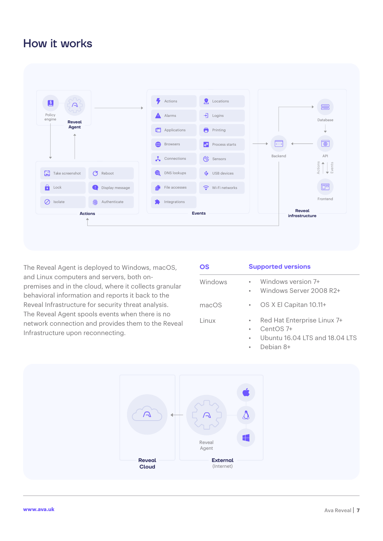# How it works



The Reveal Agent is deployed to Windows, macOS, and Linux computers and servers, both onpremises and in the cloud, where it collects granular behavioral information and reports it back to the Reveal Infrastructure for security threat analysis. The Reveal Agent spools events when there is no network connection and provides them to the Reveal Infrastructure upon reconnecting.

| <b>OS</b> | <b>Supported versions</b> |                                                     |
|-----------|---------------------------|-----------------------------------------------------|
| Windows   |                           | Windows version 7+<br>Windows Server 2008 R2+       |
| macOS     |                           | OS X El Capitan 10.11+                              |
| Linux     |                           | Red Hat Enterprise Linux 7+<br>CentOS <sub>7+</sub> |
|           |                           | Ubuntu 16.04 LTS and 18.04 LTS                      |

• Debian 8+